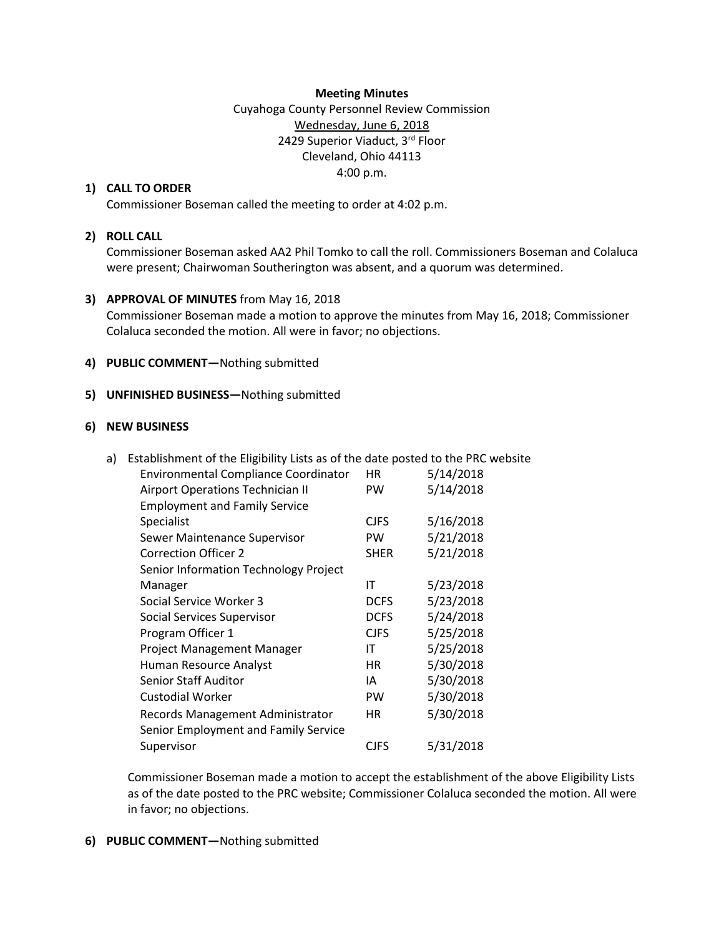#### **Meeting Minutes**

Cuyahoga County Personnel Review Commission Wednesday, June 6, 2018 2429 Superior Viaduct, 3rd Floor Cleveland, Ohio 44113 4:00 p.m.

## **1) CALL TO ORDER**

Commissioner Boseman called the meeting to order at 4:02 p.m.

### **2) ROLL CALL**

Commissioner Boseman asked AA2 Phil Tomko to call the roll. Commissioners Boseman and Colaluca were present; Chairwoman Southerington was absent, and a quorum was determined.

#### **3) APPROVAL OF MINUTES** from May 16, 2018

Commissioner Boseman made a motion to approve the minutes from May 16, 2018; Commissioner Colaluca seconded the motion. All were in favor; no objections.

#### **4) PUBLIC COMMENT—**Nothing submitted

#### **5) UNFINISHED BUSINESS—**Nothing submitted

#### **6) NEW BUSINESS**

| a) | Establishment of the Eligibility Lists as of the date posted to the PRC website |             |           |
|----|---------------------------------------------------------------------------------|-------------|-----------|
|    | <b>Environmental Compliance Coordinator</b>                                     | HR          | 5/14/2018 |
|    | Airport Operations Technician II                                                | <b>PW</b>   | 5/14/2018 |
|    | <b>Employment and Family Service</b>                                            |             |           |
|    | <b>Specialist</b>                                                               | <b>CJFS</b> | 5/16/2018 |
|    | Sewer Maintenance Supervisor                                                    | <b>PW</b>   | 5/21/2018 |
|    | <b>Correction Officer 2</b>                                                     | <b>SHER</b> | 5/21/2018 |
|    | Senior Information Technology Project                                           |             |           |
|    | Manager                                                                         | ΙT          | 5/23/2018 |
|    | Social Service Worker 3                                                         | <b>DCFS</b> | 5/23/2018 |
|    | Social Services Supervisor                                                      | <b>DCFS</b> | 5/24/2018 |
|    | Program Officer 1                                                               | <b>CJFS</b> | 5/25/2018 |
|    | <b>Project Management Manager</b>                                               | IT          | 5/25/2018 |
|    | Human Resource Analyst                                                          | HR          | 5/30/2018 |
|    | <b>Senior Staff Auditor</b>                                                     | IA          | 5/30/2018 |
|    | <b>Custodial Worker</b>                                                         | <b>PW</b>   | 5/30/2018 |
|    | Records Management Administrator                                                | HR          | 5/30/2018 |
|    | Senior Employment and Family Service                                            |             |           |
|    | Supervisor                                                                      | <b>CJFS</b> | 5/31/2018 |
|    |                                                                                 |             |           |

Commissioner Boseman made a motion to accept the establishment of the above Eligibility Lists as of the date posted to the PRC website; Commissioner Colaluca seconded the motion. All were in favor; no objections.

# **6) PUBLIC COMMENT—**Nothing submitted